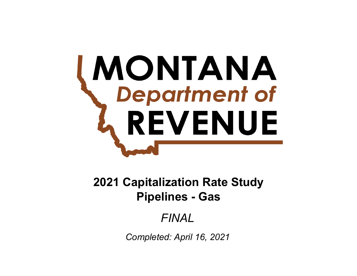# **MONTANA**<br>Chepartment of REVENUE

**Pipelines - Gas 2021 Capitalization Rate Study**

# *FINAL*

*Completed: April 16, 2021*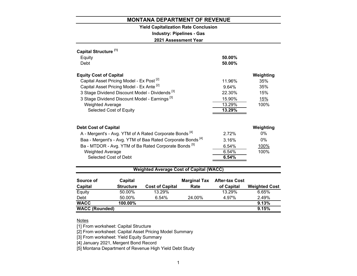# **Yield Capitalization Rate Conclusion**

**Industry: Pipelines - Gas**

**2021 Assessment Year**

| Capital Structure <sup>[1]</sup>                                       |                |           |
|------------------------------------------------------------------------|----------------|-----------|
| Equity                                                                 | 50.00%         |           |
| Debt                                                                   | 50.00%         |           |
| <b>Equity Cost of Capital</b>                                          |                | Weighting |
| Capital Asset Pricing Model - Ex Post <sup>[2]</sup>                   | 11.96%         | 35%       |
| Capital Asset Pricing Model - Ex Ante [2]                              | 9.64%          | 35%       |
| 3 Stage Dividend Discount Model - Dividends <sup>[3]</sup>             | 22.30%         | 15%       |
| 3 Stage Dividend Discount Model - Earnings <sup>[3]</sup>              | 15.90%         | 15%       |
| <b>Weighted Average</b>                                                | 13.29%         | 100%      |
| Selected Cost of Equity                                                | 13.29%         |           |
| <b>Debt Cost of Capital</b>                                            |                | Weighting |
| A - Mergent's - Avg. YTM of A Rated Corporate Bonds <sup>[4]</sup>     | 2.72%          | $0\%$     |
| Baa - Mergent's - Avg. YTM of Baa Rated Corporate Bonds <sup>[4]</sup> | 3.16%          | 0%        |
| Ba - MTDOR - Avg. YTM of Ba Rated Corporate Bonds <sup>[5]</sup>       | 6.54%          | 100%      |
| <b>Weighted Average</b>                                                | 6.54%          | 100%      |
| Selected Cost of Debt                                                  | 6.54%          |           |
|                                                                        |                |           |
| <b>Weighted Average Cost of Capital (WACC)</b>                         |                |           |
| <b>Advised to a little control</b>                                     | $\blacksquare$ |           |

| Source of             | Capital          |                        | <b>Marginal Tax</b> | <b>After-tax Cost</b> |                      |
|-----------------------|------------------|------------------------|---------------------|-----------------------|----------------------|
| Capital               | <b>Structure</b> | <b>Cost of Capital</b> | Rate                | of Capital            | <b>Weighted Cost</b> |
| Equity                | 50.00%           | 13.29%                 |                     | 13.29%                | 6.65%                |
| Debt                  | 50.00%           | 6.54%                  | 24.00%              | 4.97%                 | 2.49%                |
| <b>WACC</b>           | $100.00\%$       |                        |                     |                       | 9.13%                |
| <b>WACC (Rounded)</b> |                  |                        |                     |                       | 9.15%                |

# Notes

[1] From worksheet: Capital Structure

[2] From worksheet: Capital Asset Pricing Model Summary

[3] From worksheet: Yield Equity Summary

[4] January 2021, Mergent Bond Record

[5] Montana Department of Revenue High Yield Debt Study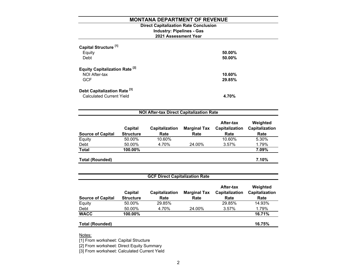# **Direct Capitalization Rate Conclusion**

# **Industry: Pipelines - Gas**

# **2021 Assessment Year**

| Capital Structure <sup>[1]</sup><br>Equity<br>Debt                         | 50.00%<br>50.00% |
|----------------------------------------------------------------------------|------------------|
| <b>Equity Capitalization Rate [2]</b><br>NOI After-tax<br><b>GCF</b>       | 10.60%<br>29.85% |
| Debt Capitalization Rate <sup>[3]</sup><br><b>Calculated Current Yield</b> | 4.70%            |

| <b>NOI After-tax Direct Capitalization Rate</b> |                             |                               |                             |                                            |                                    |  |  |  |
|-------------------------------------------------|-----------------------------|-------------------------------|-----------------------------|--------------------------------------------|------------------------------------|--|--|--|
| <b>Source of Capital</b>                        | Capital<br><b>Structure</b> | <b>Capitalization</b><br>Rate | <b>Marginal Tax</b><br>Rate | After-tax<br><b>Capitalization</b><br>Rate | Weighted<br>Capitalization<br>Rate |  |  |  |
| Equity                                          | 50.00%                      | 10.60%                        |                             | 10.60%                                     | 5.30%                              |  |  |  |
| Debt                                            | 50.00%                      | 4.70%                         | 24.00%                      | 3.57%                                      | 1.79%                              |  |  |  |
| <b>Total</b>                                    | 100.00%                     |                               |                             |                                            | 7.09%                              |  |  |  |
| <b>Total (Rounded)</b>                          |                             |                               |                             |                                            | 7.10%                              |  |  |  |

| <b>GCF Direct Capitalization Rate</b> |                             |                        |                             |                                     |                                    |  |  |  |  |
|---------------------------------------|-----------------------------|------------------------|-----------------------------|-------------------------------------|------------------------------------|--|--|--|--|
| <b>Source of Capital</b>              | Capital<br><b>Structure</b> | Capitalization<br>Rate | <b>Marginal Tax</b><br>Rate | After-tax<br>Capitalization<br>Rate | Weighted<br>Capitalization<br>Rate |  |  |  |  |
| Equity                                | 50.00%                      | 29.85%                 |                             | 29.85%                              | 14.93%                             |  |  |  |  |
| Debt                                  | 50.00%                      | 4.70%                  | 24.00%                      | 3.57%                               | 1.79%                              |  |  |  |  |
| <b>WACC</b>                           | 100.00%                     |                        |                             |                                     | 16.71%                             |  |  |  |  |
| <b>Total (Rounded)</b>                |                             |                        |                             |                                     | 16.75%                             |  |  |  |  |

Notes:

[1] From worksheet: Capital Structure

[2] From worksheet: Direct Equity Summary

[3] From worksheet: Calculated Current Yield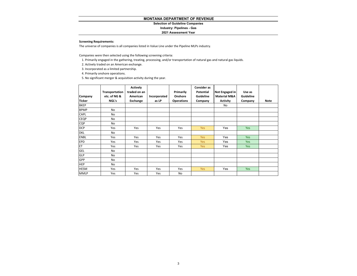# **Selection of Guideline Companies**

# **Industry: Pipelines - Gas**

# **2021 Assessment Year**

# **Screening Requirements:**

The universe of companies is all companies listed in Value Line under the Pipeline MLPs industry.

Companies were then selected using the following screening criteria:

- 1. Primarily engaged in the gathering, treating, processing, and/or transportation of natural gas and natural gas liquids.
- 2. Actively traded on an American exchange.
- 3. Incorporated as <sup>a</sup> limited partnership.
- 4. Primarily onshore operations.

5. No significant merger & acquisition activity during the year.

| Company<br><b>Ticker</b> | Transportation<br>etc. of NG &<br>NGL's | <b>Actively</b><br>traded on an<br>American<br>Exchange | Incorporated<br>as LP | Primarily<br>Onshore<br><b>Operations</b> | <b>Consider as</b><br>Potential<br>Guideline<br>Company | Not Engaged in<br><b>Material M&amp;A</b><br><b>Activity</b> | Use as<br>Guideline<br>Company | <b>Note</b> |
|--------------------------|-----------------------------------------|---------------------------------------------------------|-----------------------|-------------------------------------------|---------------------------------------------------------|--------------------------------------------------------------|--------------------------------|-------------|
| <b>BKEP</b>              |                                         |                                                         |                       |                                           |                                                         | No                                                           |                                |             |
| <b>BPMP</b>              | No                                      |                                                         |                       |                                           |                                                         |                                                              |                                |             |
| CAPL                     | No                                      |                                                         |                       |                                           |                                                         |                                                              |                                |             |
| <b>CEQP</b>              | No                                      |                                                         |                       |                                           |                                                         |                                                              |                                |             |
| CQP                      | No                                      |                                                         |                       |                                           |                                                         |                                                              |                                |             |
| <b>DCP</b>               | Yes                                     | Yes                                                     | Yes                   | Yes                                       | <b>Yes</b>                                              | Yes                                                          | <b>Yes</b>                     |             |
| <b>DKL</b>               | No                                      |                                                         |                       |                                           |                                                         |                                                              |                                |             |
| <b>ENBL</b>              | Yes                                     | Yes                                                     | Yes                   | Yes                                       | <b>Yes</b>                                              | Yes                                                          | <b>Yes</b>                     |             |
| EPD                      | Yes                                     | Yes                                                     | Yes                   | Yes                                       | <b>Yes</b>                                              | Yes                                                          | <b>Yes</b>                     |             |
| ET                       | Yes                                     | Yes                                                     | Yes                   | Yes                                       | Yes                                                     | Yes                                                          | <b>Yes</b>                     |             |
| GEL                      | No                                      |                                                         |                       |                                           |                                                         |                                                              |                                |             |
| GLP                      | No                                      |                                                         |                       |                                           |                                                         |                                                              |                                |             |
| GPP                      | No                                      |                                                         |                       |                                           |                                                         |                                                              |                                |             |
| <b>HEP</b>               | No                                      |                                                         |                       |                                           |                                                         |                                                              |                                |             |
| <b>HESM</b>              | Yes                                     | Yes                                                     | Yes                   | Yes                                       | <b>Yes</b>                                              | Yes                                                          | Yes                            |             |
| <b>MMLP</b>              | Yes                                     | Yes                                                     | Yes                   | No                                        |                                                         |                                                              |                                |             |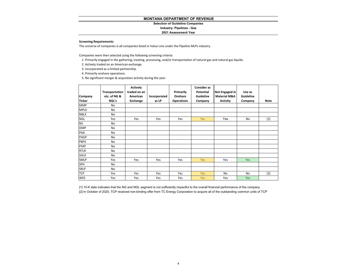# **Selection of Guideline Companies**

# **Industry: Pipelines - Gas**

# **2021 Assessment Year**

# **Screening Requirements:**

The universe of companies is all companies listed in Value Line under the Pipeline MLPs industry.

Companies were then selected using the following screening criteria:

- 1. Primarily engaged in the gathering, treating, processing, and/or transportation of natural gas and natural gas liquids.
- 2. Actively traded on an American exchange.
- 3. Incorporated as <sup>a</sup> limited partnership.
- 4. Primarily onshore operations.

5. No significant merger & acquisition activity during the year.

| Company<br><b>Ticker</b> | Transportation<br>etc. of NG &<br>NGL's | <b>Actively</b><br>traded on an<br>American<br>Exchange | Incorporated<br>as LP | Primarily<br>Onshore<br><b>Operations</b> | <b>Consider as</b><br>Potential<br>Guideline<br>Company | Not Engaged in<br><b>Material M&amp;A</b><br><b>Activity</b> | Use as<br>Guideline<br>Company | <b>Note</b> |
|--------------------------|-----------------------------------------|---------------------------------------------------------|-----------------------|-------------------------------------------|---------------------------------------------------------|--------------------------------------------------------------|--------------------------------|-------------|
| <b>MMP</b>               | No                                      |                                                         |                       |                                           |                                                         |                                                              |                                |             |
| <b>MPLX</b>              | No                                      |                                                         |                       |                                           |                                                         |                                                              |                                |             |
| <b>NBLX</b>              | No                                      |                                                         |                       |                                           |                                                         |                                                              |                                |             |
| <b>NGL</b>               | Yes                                     | Yes                                                     | Yes                   | Yes                                       | Yes                                                     | Yes                                                          | No                             | $[1]$       |
| <b>NS</b>                | No                                      |                                                         |                       |                                           |                                                         |                                                              |                                |             |
| OMP                      | No                                      |                                                         |                       |                                           |                                                         |                                                              |                                |             |
| PAA                      | No                                      |                                                         |                       |                                           |                                                         |                                                              |                                |             |
| PAGP                     | <b>No</b>                               |                                                         |                       |                                           |                                                         |                                                              |                                |             |
| <b>PBFX</b>              | No                                      |                                                         |                       |                                           |                                                         |                                                              |                                |             |
| <b>PSXP</b>              | No                                      |                                                         |                       |                                           |                                                         |                                                              |                                |             |
| <b>RTLR</b>              | No                                      |                                                         |                       |                                           |                                                         |                                                              |                                |             |
| <b>SHLX</b>              | <b>No</b>                               |                                                         |                       |                                           |                                                         |                                                              |                                |             |
| SMLP                     | Yes                                     | Yes                                                     | Yes                   | Yes                                       | <b>Yes</b>                                              | Yes                                                          | Yes                            |             |
| SPH                      | No                                      |                                                         |                       |                                           |                                                         |                                                              |                                |             |
| SRLP                     | <b>No</b>                               |                                                         |                       |                                           |                                                         |                                                              |                                |             |
| <b>TCP</b>               | Yes                                     | Yes                                                     | Yes                   | Yes                                       | Yes                                                     | <b>No</b>                                                    | <b>No</b>                      | $[2]$       |
| <b>WES</b>               | Yes                                     | Yes                                                     | Yes                   | Yes                                       | <b>Yes</b>                                              | Yes                                                          | <b>Yes</b>                     |             |

[1] 10-K data indicates that the NG and NGL segment is not sufficiently impactful to the overall financial performance of the company. [2] In October of 2020, TCP received non-binding offer from TC Energy Corporation to acquire all of the outstanding common units of TCP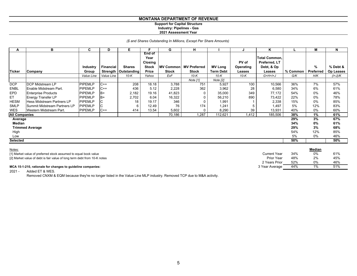# **Support for Capital Structure Industry: Pipelines - Gas 2021 Assessment Year**

*(\$ and Shares Outstanding In Millions, Except Per Share Amounts)*

| А                    | в                            | C              | D                | Е                      | Е                                         | G                | H                   |                  | J                  | ĸ                                                   |          | м         | N         |
|----------------------|------------------------------|----------------|------------------|------------------------|-------------------------------------------|------------------|---------------------|------------------|--------------------|-----------------------------------------------------|----------|-----------|-----------|
|                      |                              | Industry       | <b>Financial</b> | <b>Shares</b>          | End of<br>Year<br>Closing<br><b>Stock</b> | <b>MV Common</b> | <b>MV Preferred</b> | <b>MV Long</b>   | PV of<br>Operating | <b>Total Common,</b><br>Preferred, LT<br>Debt, & Op |          | %         | % Debt &  |
| <b>Ticker</b>        | Company                      | Group          |                  | Strength   Outstanding | Price                                     | <b>Stock</b>     | <b>Stock</b>        | <b>Term Debt</b> | Leases             | Leases                                              | % Common | Preferred | Op Leases |
|                      |                              | Value Line     | Value Line       | $10-K$                 | Yahoo                                     | <b>ExF</b>       | $10-K$              | $10-K$           | $10-K$             | $G+H+H+J$                                           | G/K      | H/K       | $(l+J)/K$ |
|                      |                              |                |                  |                        |                                           |                  | Note [1]            | Note [2]         |                    |                                                     |          |           |           |
| <b>DCP</b>           | <b>DCP Midstream LP</b>      | <b>PIPEMLP</b> | $C++$            | 208                    | 18.18                                     | 3,788            | 751                 | 5,927            | 100                | 10,566                                              | 36%      | 7%        | 57%       |
| <b>ENBL</b>          | Enable Midstream Part.       | <b>PIPEMLP</b> | $C++$            | 436                    | 5.12                                      | 2,228            | 362                 | 3,962            | 28                 | 6,580                                               | 34%      | 6%        | 61%       |
| <b>EPD</b>           | <b>Enterprise Products</b>   | <b>PIPEMLP</b> | IB+              | 2,182                  | 19.16                                     | 41,823           | 0                   | 35,000           | 349                | 77,172                                              | 54%      | 0%        | 46%       |
| ET.                  | <b>Energy Transfer LP</b>    | <b>PIPEMLP</b> | IB+              | 2,702                  | 6.04                                      | 16,322           |                     | 56,210           | 890                | 73,422                                              | 22%      | 0%        | 78%       |
| <b>HESM</b>          | Hess Midstream Partners LP   | <b>PIPEMLP</b> | C                | 18                     | 19.17                                     | 346              |                     | 1,991            |                    | 2,338                                               | 15%      | 0%        | 85%       |
| <b>SMLP</b>          | Summit Midstream Partners LP | <b>PIPEMLP</b> | C                | 6                      | 12.49                                     | 76               | 174                 | 1,241            | 5                  | 1,497                                               | 5%       | 12%       | 83%       |
| <b>WES</b>           | Western Midstream Part.      | PIPEMLP        | $C++$            | 414                    | 13.54                                     | 5,602            |                     | 8,290            | 39                 | 13,931                                              | 40%      | 0%        | 60%       |
| <b>All Companies</b> |                              |                |                  |                        |                                           | 70,186           | 1,287               | 112,621          | 1,412              | 185,506                                             | 38%      | 1%        | 61%       |
| Average              |                              |                |                  |                        |                                           |                  |                     |                  |                    |                                                     | 29%      | 3%        | 67%       |
| Median               |                              |                |                  |                        |                                           |                  |                     |                  |                    |                                                     | 34%      | 0%        | 61%       |
|                      | <b>Trimmed Average</b>       |                |                  |                        |                                           |                  |                     |                  |                    |                                                     | 29%      | 3%        | 68%       |
| High                 |                              |                |                  |                        |                                           |                  |                     |                  |                    |                                                     | 54%      | 12%       | 85%       |
| Low                  |                              |                |                  |                        |                                           |                  |                     |                  |                    |                                                     | 5%       | 0%        | 46%       |
| <b>Selected</b>      |                              |                |                  |                        |                                           |                  |                     |                  |                    |                                                     | 50%      |           | 50%       |

| Notes:                                                                   |                |     | Median |     |  |
|--------------------------------------------------------------------------|----------------|-----|--------|-----|--|
| [1] Market value of preferred stock assumed to equal book value          | Current Yeaı   | 34% | 0%     | 61% |  |
| [2] Market value of debt is fair value of long term debt from 10-K notes | Prior Year     | 48% | 2%     | 45% |  |
|                                                                          | 2 Years Prior  | 52% | 0%     | 46% |  |
| MCA 15-1-210, rationale for changes to guideline companies:              | 3 Year Average | 44% |        | 51% |  |

2021 - Added ET & WES.

Removed CNXM & EQM because they're no longer listed in the Value Line MLP industry. Removed TCP due to M&A activity.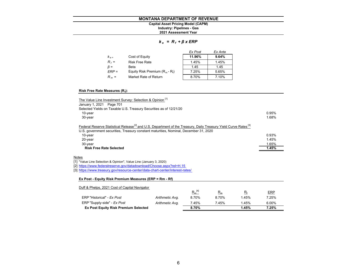# **Industry: Pipelines - Gas Capital Asset Pricing Model (CAPM)**

# **2021 Assessment Year**

# *k <sup>e</sup>= R <sup>f</sup><sup>+</sup>β x ERP*

|                |                                   | Ex Post | Ex Ante |
|----------------|-----------------------------------|---------|---------|
| $K_{\alpha}$ = | Cost of Equity                    | 11.96%  | 9.64%   |
| $R_f =$        | <b>Risk Free Rate</b>             | 1.45%   | 1.45%   |
| $\beta =$      | Beta                              | 1.45    | 1.45    |
| $ERP =$        | Equity Risk Premium $(R_m - R_f)$ | 7.25%   | 5.65%   |
| $R_m =$        | Market Rate of Return             | 8.70%   | 7.10%   |

# **Risk Free Rate Measures (Rf):**

| The Value Line Investment Survey: Selection & Opinion <sup>[1]</sup>                                                                                                                                                            |       |
|---------------------------------------------------------------------------------------------------------------------------------------------------------------------------------------------------------------------------------|-------|
| January 1, 2021 Page 701                                                                                                                                                                                                        |       |
| Selected Yields on Taxable U.S. Treasury Securities as of 12/21/20                                                                                                                                                              |       |
| $10$ -year                                                                                                                                                                                                                      | 0.95% |
| $30$ -year                                                                                                                                                                                                                      | 1.68% |
| Federal Reserve Statistical Release <sup>[2]</sup> and U.S. Department of the Treasury, Daily Treasury Yield Curve Rates <sup>[3]</sup><br>U.S. government securities, Treasury constant maturities, Nominal, December 31, 2020 |       |
| 10-year                                                                                                                                                                                                                         | 0.93% |
| $20$ -year                                                                                                                                                                                                                      | 1.45% |
| 30-year                                                                                                                                                                                                                         | 1.65% |
| <b>Risk Free Rate Selected</b>                                                                                                                                                                                                  | 1.45% |

## <u>Notes</u>

[1] "Value Line Selection & Opinion", Value Line (January 3, 2020)

[2] https://www.federalreserve.gov/datadownload/Choose.aspx?rel=H.15

[3] https://www.treasury.gov/resource-center/data-chart-center/interest-rates/

# **Ex Post - Equity Risk Premium Measures (ERP = Rm - Rf)**

| Duff & Phelps, 2021 Cost of Capital Navigator |                 |             |       |       |            |
|-----------------------------------------------|-----------------|-------------|-------|-------|------------|
|                                               |                 | $R_m^{[4]}$ | $R_m$ | $R_f$ | <b>ERP</b> |
| ERP "Historical" - Ex Post                    | Arithmetic Avg. | 8.70%       | 8.70% | 1.45% | 7.25%      |
| ERP "Supply-side" - Ex Post                   | Arithmetic Avg. | 7.45%       | 7.45% | 1.45% | 6.00%      |
| <b>Ex Post Equity Risk Premium Selected</b>   |                 | 8.70%       |       | 1.45% | 7.25%      |
|                                               |                 |             |       |       |            |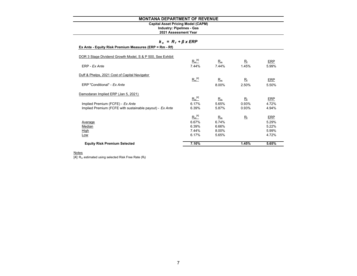# **Capital Asset Pricing Model (CAPM)**

**2021 Assessment Year Industry: Pipelines - Gas**

# *k <sup>e</sup>= R <sup>f</sup><sup>+</sup>β x ERP*

| Ex Ante - Equity Risk Premium Measures (ERP = Rm - Rf) |  |  |
|--------------------------------------------------------|--|--|

| <b>Equity Risk Premium Selected</b>                       | 7.10%       |       | 1.45%       | 5.65%      |
|-----------------------------------------------------------|-------------|-------|-------------|------------|
| Low                                                       | 6.17%       | 5.65% |             | 4.72%      |
| <b>High</b>                                               | 7.44%       | 8.00% |             | 5.99%      |
| Median                                                    | 6.39%       | 6.66% |             | 5.22%      |
| <b>Average</b>                                            | 6.67%       | 6.74% |             | 5.29%      |
|                                                           | $R_m^{[4]}$ | $R_m$ | $R_{\rm f}$ | ERP        |
| Implied Premium (FCFE with sustainable payout) - Ex Ante  | 6.39%       | 5.87% | 0.93%       | 4.94%      |
| Implied Premium (FCFE) - Ex Ante                          | 6.17%       | 5.65% | 0.93%       | 4.72%      |
|                                                           | $R_m^{[4]}$ | $R_m$ | $R_{\rm f}$ | <b>ERP</b> |
| Damodaran Implied ERP (Jan 5, 2021)                       |             |       |             |            |
| ERP "Conditional" - Ex Ante                               |             | 8.00% | 2.50%       | 5.50%      |
|                                                           | $R_m^{[4]}$ | $R_m$ | $R_{\rm f}$ | ERP        |
| Duff & Phelps, 2021 Cost of Capital Navigator             |             |       |             |            |
| ERP - Ex Ante                                             | 7.44%       | 7.44% | 1.45%       | 5.99%      |
| DOR 3 Stage Dividend Growth Model, S & P 500, See Exhibit | $R_m^{[4]}$ | $R_m$ | $R_{\rm f}$ | <b>ERP</b> |

<u>Notes</u><br>[4] R<sub>m</sub> estimated using selected Risk Free Rate (R<sub>t</sub>)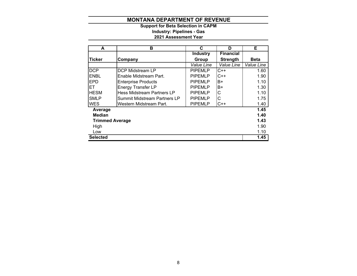**2021 Assessment Year Industry: Pipelines - Gas Support for Beta Selection in CAPM**

| A                      | в                            | C               | D                | Е           |
|------------------------|------------------------------|-----------------|------------------|-------------|
|                        |                              | <b>Industry</b> | <b>Financial</b> |             |
| <b>Ticker</b>          | Company                      | Group           | <b>Strength</b>  | <b>Beta</b> |
|                        |                              | Value Line      | Value Line       | Value Line  |
| <b>DCP</b>             | DCP Midstream LP             | <b>PIPEMLP</b>  | $C++$            | 1.60        |
| <b>ENBL</b>            | Enable Midstream Part.       | <b>PIPEMLP</b>  | $C++$            | 1.90        |
| <b>EPD</b>             | <b>Enterprise Products</b>   | <b>PIPEMLP</b>  | B+               | 1.10        |
| EТ                     | <b>Energy Transfer LP</b>    | <b>PIPEMLP</b>  | B+               | 1.30        |
| <b>HESM</b>            | Hess Midstream Partners LP   | <b>PIPEMLP</b>  | С                | 1.10        |
| <b>SMLP</b>            | Summit Midstream Partners LP | <b>PIPEMLP</b>  | С                | 1.75        |
| <b>WES</b>             | Western Midstream Part.      | <b>PIPEMLP</b>  | C++              | 1.40        |
| Average                |                              |                 |                  | 1.45        |
| <b>Median</b>          |                              |                 |                  | 1.40        |
| <b>Trimmed Average</b> |                              |                 |                  | 1.43        |
| High                   |                              |                 |                  | 1.90        |
| Low                    |                              |                 |                  | 1.10        |
| <b>Selected</b>        |                              |                 |                  | 1.45        |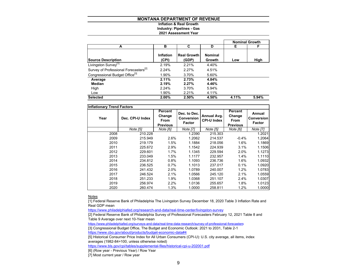# **Inflation & Real GrowthIndustry: Pipelines - Gas**

# **2021 Assessment Year**

|                                                   |                           |                             |                          | <b>Nominal Growth</b> |       |
|---------------------------------------------------|---------------------------|-----------------------------|--------------------------|-----------------------|-------|
| А                                                 | в                         | C                           | D                        | Е                     | F     |
| <b>Source Description</b>                         | <b>Inflation</b><br>(CPI) | <b>Real Growth</b><br>(GDP) | <b>Nominal</b><br>Growth | Low                   | High  |
| Livingston Survey <sup>[1]</sup>                  | 2.19%                     | 2.21%                       | 4.40%                    |                       |       |
| Survey of Professional Forecasters <sup>[2]</sup> | 2.24%                     | 2.27%                       | 4.51%                    |                       |       |
| Congressional Budget Office <sup>[3]</sup>        | 1.90%                     | 3.70%                       | 5.60%                    |                       |       |
| Average                                           | 2.11%                     | 2.73%                       | 4.84%                    |                       |       |
| Median                                            | 2.19%                     | 2.27%                       | 4.46%                    |                       |       |
| High                                              | 2.24%                     | 3.70%                       | 5.94%                    |                       |       |
| Low                                               | 1.90%                     | 2.21%                       | 4.11%                    |                       |       |
| <b>Selected</b>                                   | 2.00%                     | 2.50%                       | 4.50%                    | 4.11%                 | 5.94% |

| <b>Inflationary Trend Factors</b> |                  |                                              |                                      |                                   |                                              |                                       |
|-----------------------------------|------------------|----------------------------------------------|--------------------------------------|-----------------------------------|----------------------------------------------|---------------------------------------|
| Year                              | Dec. CPI-U Index | Percent<br>Change<br>From<br><b>Previous</b> | Dec. to Dec.<br>Conversion<br>Factor | Annual Avg.<br><b>CPI-U Index</b> | Percent<br>Change<br>From<br><b>Previous</b> | Annual<br><b>Conversion</b><br>Factor |
|                                   | Note [5]         | Note [6]                                     | Note [7]                             | Note [5]                          | Note [6]                                     | Note [7]                              |
| 2008                              | 210.228          |                                              | 1.2390                               | 215.303                           |                                              | 1.2021                                |
| 2009                              | 215.949          | 2.6%                                         | 1.2062                               | 214.537                           | $-0.4%$                                      | 1.2064                                |
| 2010                              | 219.179          | 1.5%                                         | 1.1884                               | 218.056                           | 1.6%                                         | 1.1869                                |
| 2011                              | 225.672          | 2.9%                                         | 1.1542                               | 224.939                           | 3.1%                                         | 1.1506                                |
| 2012                              | 229.601          | $1.7\%$                                      | 1.1345                               | 229.594                           | 2.0%                                         | 1.1273                                |
| 2013                              | 233.049          | 1.5%                                         | 1.1177                               | 232.957                           | 1.4%                                         | 1.1110                                |
| 2014                              | 234.812          | 0.8%                                         | 1.1093                               | 236.736                           | 1.6%                                         | 1.0932                                |
| 2015                              | 236.525          | 0.7%                                         | 1.1013                               | 237.017                           | 0.1%                                         | 1.0920                                |
| 2016                              | 241.432          | 2.0%                                         | 1.0789                               | 240.007                           | 1.2%                                         | 1.0783                                |
| 2017                              | 246.524          | 2.1%                                         | 1.0566                               | 245.120                           | 2.1%                                         | 1.0559                                |
| 2018                              | 251.233          | 1.9%                                         | 1.0368                               | 251.107                           | 2.4%                                         | 1.0307                                |
| 2019                              | 256.974          | 2.2%                                         | 1.0136                               | 255.657                           | 1.8%                                         | 1.0123                                |
| 2020                              | 260.474          | 1.3%                                         | 1.0000                               | 258.811                           | 1.2%                                         | 1.0000                                |

<u>Notes</u>

[1] Federal Reserve Bank of Philadelphia The Livingston Survey December 18, 2020 Table 3 Inflation Rate and Real GDP mean

https://www.philadelphiafed.org/research-and-data/real-time-center/livingston-survey

[2] Federal Reserve Bank of Philadelphia Survey of Professional Forecasters February 12, 2021 Table 8 and Table 9 Average over next 10-Year mean

https://www.philadelphiafed.org/surveys-and-data/real-time-data-research/survey-of-professional-forecasters

[3] Congressional Budget Office, The Budget and Economic Outlook: 2021 to 2031, Table 2-1

https://www.cbo.gov/about/products/budget-economic-data#4

[5] Historical Consumer Price Index for All Urban Consumers (CPI-U): U.S. city average, all items, index averages (1982-84=100, unless otherwise noted)

https://www.bls.gov/cpi/tables/supplemental-files/historical-cpi-u-202001.pdf

[6] (Row year - Previous Year) / Row Year

[7] Most current year / Row year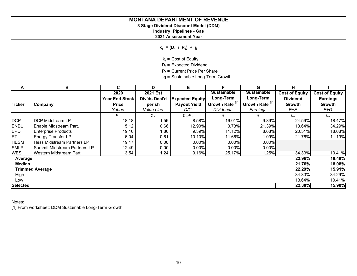# **3 Stage Dividend Discount Model (DDM)**

**Industry: Pipelines - Gas**

**2021 Assessment Year**

 $k_e = (D_1 / P_0) + g$ 

**k<sub>e</sub>** = Cost of Equity

**D<sub>1</sub>** = Expected Dividend

**P<sub>0</sub>** = Current Price Per Share

**g =** Sustainable Long-Term Growth

| Α               | В                               | C.                    | D             | Е                      | F                          | G                          | н                     |                       |
|-----------------|---------------------------------|-----------------------|---------------|------------------------|----------------------------|----------------------------|-----------------------|-----------------------|
|                 |                                 | 2020                  | 2021 Est      |                        | <b>Sustainable</b>         | <b>Sustainable</b>         | <b>Cost of Equity</b> | <b>Cost of Equity</b> |
|                 |                                 | <b>Year End Stock</b> | Div'ds Decl'd | <b>Expected Equity</b> | Long-Term                  | Long-Term                  | <b>Dividend</b>       | <b>Earnings</b>       |
| <b>Ticker</b>   | Company                         | <b>Price</b>          | per sh        | <b>Payout Yield</b>    | Growth Rate <sup>[1]</sup> | Growth Rate <sup>[1]</sup> | Growth                | Growth                |
|                 |                                 | Yahoo                 | Value Line    | D/C                    | <b>Dividends</b>           | Earnings                   | E+F                   | $E+G$                 |
|                 |                                 | $P_0$                 | $D_{1}$       | $D_1/P_0$              | g                          | g                          | $k_e$                 | $k_e$                 |
| <b>DCP</b>      | <b>DCP Midstream LP</b>         | 18.18                 | 1.56          | 8.58%                  | 16.01%                     | 9.89%                      | 24.59%                | 18.47%                |
| <b>ENBL</b>     | <b>I</b> Enable Midstream Part. | 5.12                  | 0.66          | 12.90%                 | 0.73%                      | 21.39%                     | 13.64%                | 34.29%                |
| <b>EPD</b>      | <b>Enterprise Products</b>      | 19.16                 | 1.80          | 9.39%                  | 11.12%                     | 8.68%                      | 20.51%                | 18.08%                |
| ET              | <b>Energy Transfer LP</b>       | 6.04                  | 0.61          | 10.10%                 | 11.66%                     | 1.09%                      | 21.76%                | 11.19%                |
| <b>HESM</b>     | Hess Midstream Partners LP      | 19.17                 | 0.00          | 0.00%                  | $0.00\%$                   | $0.00\%$                   |                       |                       |
| <b>SMLP</b>     | ISummit Midstream Partners LP   | 12.49                 | 0.00          | 0.00%                  | $0.00\%$                   | $0.00\%$                   |                       |                       |
| <b>WES</b>      | Western Midstream Part.         | 13.54                 | 1.24          | 9.16%                  | 25.17%                     | 1.25%                      | 34.33%                | 10.41%                |
| Average         |                                 |                       |               |                        |                            |                            | 22.96%                | 18.49%                |
| <b>Median</b>   |                                 |                       |               |                        |                            |                            | 21.76%                | 18.08%                |
|                 | <b>Trimmed Average</b>          |                       |               |                        |                            |                            | 22.29%                | 15.91%                |
| High            |                                 |                       |               |                        |                            |                            | 34.33%                | 34.29%                |
| Low             |                                 |                       |               |                        |                            |                            | 13.64%                | 10.41%                |
| <b>Selected</b> |                                 |                       |               |                        |                            |                            | 22.30%                | 15.90%                |

Notes:

[1] From worksheet: DDM Sustainable Long-Term Growth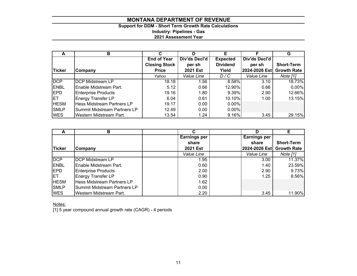# **Support for DDM - Short Term Growth Rate Calculations Industry: Pipelines - Gas 2021 Assessment Year**

|               | в                            | С                    | D               | F               |               | G                  |
|---------------|------------------------------|----------------------|-----------------|-----------------|---------------|--------------------|
|               |                              | <b>End of Year</b>   | Div'ds Decl'd   | <b>Expected</b> | Div'ds Decl'd |                    |
|               |                              | <b>Closing Stock</b> | per sh          | <b>Dividend</b> | per sh        | <b>Short-Term</b>  |
| <b>Ticker</b> | Company                      | <b>Price</b>         | <b>2021 Est</b> | Yield           | 2024-2026 Est | <b>Growth Rate</b> |
|               |                              | Yahoo                | Value Line      | D/C             | Value Line    | Note [1]           |
| DCP           | <b>DCP Midstream LP</b>      | 18.18                | 1.56            | 8.58%           | 3.10          | 18.73%             |
| <b>ENBL</b>   | Enable Midstream Part.       | 5.12                 | 0.66            | 12.90%          | 0.66          | 0.00%              |
| <b>IEPD</b>   | <b>Enterprise Products</b>   | 19.16                | 1.80            | $9.39\%$        | 2.90          | 12.66%             |
| <b>IET</b>    | <b>Energy Transfer LP</b>    | 6.04                 | 0.61            | 10.10%          | 1.00          | 13.15%             |
| <b>HESM</b>   | Hess Midstream Partners LP   | 19.17                | 0.00            | $0.00\%$        |               |                    |
| <b>SMLP</b>   | Summit Midstream Partners LP | 12.49                | 0.00            | $0.00\%$        |               |                    |
| <b>WES</b>    | Western Midstream Part.      | 13.54                | 1.24            | 9.16%           | 3.45          | 29.15%             |

| A             | в                                 |                     | D            |                           |
|---------------|-----------------------------------|---------------------|--------------|---------------------------|
|               |                                   | <b>Earnings per</b> | Earnings per |                           |
|               |                                   | share               | share        | <b>Short-Term</b>         |
| <b>Ticker</b> | Company                           | <b>2021 Est</b>     |              | 2024-2026 Est Growth Rate |
|               |                                   | Value Line          | Value Line   | Note [1]                  |
| <b>DCP</b>    | <b>DCP Midstream LP</b>           | 1.95                | 3.00         | 11.37%                    |
| <b>IENBL</b>  | Enable Midstream Part.            | 0.60                | 1.40         | 23.59%                    |
| <b>EPD</b>    | <b>Enterprise Products</b>        | 2.00                | 2.90         | 9.73%                     |
| IET.          | <b>Energy Transfer LP</b>         | 0.90                | 1.25         | 8.56%                     |
| <b>HESM</b>   | <b>Hess Midstream Partners LP</b> | 1.62                |              |                           |
| <b>SMLP</b>   | Summit Midstream Partners LP      | 0.00                |              |                           |
| <b>WES</b>    | Western Midstream Part.           | 2.20                | 3.45         | 11.90%                    |

Notes:

[1] 5 year compound annual growth rate (CAGR) - 4 periods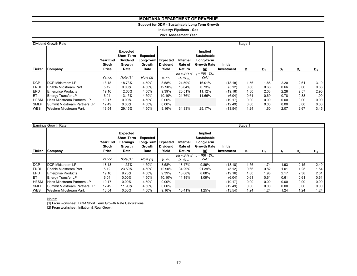# **Support for DDM - Sustainable Long Term Growth**

**Industry: Pipelines - Gas**

**2021 Assessment Year**

|               | Dividend Growth Rate                 | Stage 1                           |                                                             |                                                      |                          |                               |                                                                         |                              |       |                |       |       |       |
|---------------|--------------------------------------|-----------------------------------|-------------------------------------------------------------|------------------------------------------------------|--------------------------|-------------------------------|-------------------------------------------------------------------------|------------------------------|-------|----------------|-------|-------|-------|
| <b>Ticker</b> | Company                              | Year End<br><b>Stock</b><br>Price | Expected<br>Short-Term<br><b>Dividend</b><br>Growth<br>Rate | Expected<br>Long-Term   Expected  <br>Growth<br>Rate | <b>Dividend</b><br>Yield | Internal<br>Rate of<br>Return | Implied<br><b>Sustainable</b><br>Long-Term<br><b>Growth Rate</b><br>(g) | <b>Initial</b><br>Investment | $D_4$ | D <sub>2</sub> | $D_3$ | $D_4$ | $D_5$ |
|               |                                      |                                   |                                                             |                                                      |                          | $Ke = IRR$ of                 | $q = IRR - Div.$                                                        |                              |       |                |       |       |       |
|               |                                      | Yahoo                             | Note [1]                                                    | Note [2]                                             | $D_1/P_0$                | $D_1$ : $D_{500}$             | Yield                                                                   |                              |       |                |       |       |       |
| <b>DCP</b>    | <b>IDCP Midstream LP</b>             | 18.18                             | 18.73%                                                      | 4.50%                                                | 8.58%                    | 24.59%                        | 16.01%                                                                  | (18.18)                      | 1.56  | 1.85           | 2.20  | 2.61  | 3.10  |
| <b>ENBL</b>   | lEnable Midstream Part.              | 5.12                              | $0.00\%$                                                    | 4.50%                                                | 12.90%                   | 13.64%                        | 0.73%                                                                   | (5.12)                       | 0.66  | 0.66           | 0.66  | 0.66  | 0.66  |
| <b>EPD</b>    | <b>Enterprise Products</b>           | 19.16                             | 12.66%                                                      | 4.50%                                                | 9.39%                    | 20.51%                        | 11.12%                                                                  | (19.16)                      | 1.80  | 2.03           | 2.28  | 2.57  | 2.90  |
| <b>IET</b>    | <b>Energy Transfer LP</b>            | 6.04                              | 13.15%                                                      | 4.50%                                                | 10.10%                   | 21.76%                        | 11.66%                                                                  | (6.04)                       | 0.61  | 0.69           | 0.78  | 0.88  | 1.00  |
| <b>HESM</b>   | Hess Midstream Partners LP           | 19.17                             | $0.00\%$                                                    | 4.50%                                                | $0.00\%$                 |                               |                                                                         | (19.17)                      | 0.00  | 0.00           | 0.00  | 0.00  | 0.00  |
| <b>SMLP</b>   | <b>ISummit Midstream Partners LP</b> | 12.49                             | $0.00\%$                                                    | 4.50%                                                | $0.00\%$                 |                               |                                                                         | (12.49)                      | 0.00  | 0.00           | 0.00  | 0.00  | 0.00  |
| <b>WES</b>    | Western Midstream Part.              | 13.54                             | 29.15%                                                      | 4.50%                                                | 9.16%                    | 34.33%                        | 25.17%                                                                  | (13.54)                      | 1.24  | 1.60           | 2.07  | 2.67  | 3.45  |

|               | Earnings Growth Rate                 | Stage 1                                  |                                                                                                                                                    |          |                               |                                                                         |                                |         |                |       |       |         |      |
|---------------|--------------------------------------|------------------------------------------|----------------------------------------------------------------------------------------------------------------------------------------------------|----------|-------------------------------|-------------------------------------------------------------------------|--------------------------------|---------|----------------|-------|-------|---------|------|
| <b>Ticker</b> | Company                              | Year End<br><b>Stock</b><br><b>Price</b> | Expected<br><b>Short-Term</b><br>Expected<br>Long-Term Expected<br><b>Earnings</b><br><b>Dividend</b><br>Growth<br>Growth<br>Yield<br>Rate<br>Rate |          | Internal<br>Rate of<br>Return | Implied<br><b>Sustainable</b><br>Long-Term<br><b>Growth Rate</b><br>(g) | <b>Initial</b><br>Investment   | D.      | D <sub>2</sub> | $D_3$ | $D_4$ | $D_{5}$ |      |
|               |                                      |                                          |                                                                                                                                                    |          |                               |                                                                         | $Ke = IRR$ of $g = IRR - Div.$ |         |                |       |       |         |      |
|               |                                      | Yahoo                                    | Note [1]                                                                                                                                           | Note [2] | $D_1/P_0$                     | D <sub>1</sub> :D <sub>500</sub>                                        | Yield                          |         |                |       |       |         |      |
| <b>DCP</b>    | <b>DCP Midstream LP</b>              | 18.18                                    | 11.37%                                                                                                                                             | 4.50%    | 8.58%                         | 18.47%                                                                  | 9.89%                          | (18.18) | 1.56           | 1.74  | 1.93  | 2.15    | 2.40 |
| <b>ENBL</b>   | Enable Midstream Part.               | 5.12                                     | 23.59%                                                                                                                                             | 4.50%    | 12.90%                        | 34.29%                                                                  | 21.39%                         | (5.12)  | 0.66           | 0.82  | 1.01  | 1.25    | 1.54 |
| <b>EPD</b>    | <b>Enterprise Products</b>           | 19.16                                    | 9.73%                                                                                                                                              | 4.50%    | 9.39%                         | 18.08%                                                                  | 8.68%                          | (19.16) | 1.80           | 1.98  | 2.17  | 2.38    | 2.61 |
| <b>IET</b>    | <b>Energy Transfer LP</b>            | 6.04                                     | $0.00\%$                                                                                                                                           | 4.50%    | 10.10%                        | 11.19%                                                                  | 1.09%                          | (6.04)  | 0.61           | 0.61  | 0.61  | 0.61    | 0.61 |
| <b>HESM</b>   | Hess Midstream Partners LP           | 19.17                                    | $0.00\%$                                                                                                                                           | 4.50%    | $0.00\%$                      |                                                                         |                                | (19.17) | 0.00           | 0.00  | 0.00  | 0.00    | 0.00 |
| <b>SMLP</b>   | <b>ISummit Midstream Partners LP</b> | 12.49                                    | 11.90%                                                                                                                                             | 4.50%    | $0.00\%$                      |                                                                         |                                | (12.49) | 0.00           | 0.00  | 0.00  | 0.00    | 0.00 |
| <b>WES</b>    | Western Midstream Part.              | 13.54                                    | 0.00%                                                                                                                                              | 4.50%    | 9.16%                         | 10.41%                                                                  | $1.25\%$                       | (13.54) | 1.24           | 1.24  | 1.24  | 1.24    | 1.24 |

<u>Notes:</u><br>[1] From worksheet: DDM Short Term Growth Rate Calculations

[2] From worksheet: Inflation & Real Growth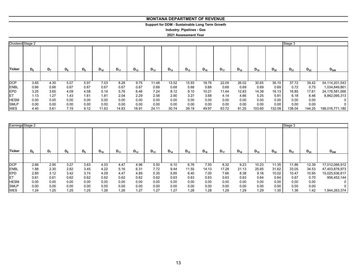# **Support for DDM - Sustainable Long Term Growth**

**Industry: Pipelines - Gas**

| Dividend Stage 2 |       |      |       |       |          |          |          |          |          |          |          |          |          |          |          | Stage 3  |          |                   |
|------------------|-------|------|-------|-------|----------|----------|----------|----------|----------|----------|----------|----------|----------|----------|----------|----------|----------|-------------------|
| <b>Ticker</b>    | $D_6$ | D,   | $D_8$ | $D_9$ | $D_{10}$ | $D_{11}$ | $D_{12}$ | $D_{13}$ | $D_{14}$ | $D_{15}$ | $D_{16}$ | $D_{17}$ | $D_{18}$ | $D_{19}$ | $D_{20}$ | $D_{21}$ | $D_{22}$ | $D_{500}$         |
|                  |       |      |       |       |          |          |          |          |          |          |          |          |          |          |          |          |          |                   |
| <b>DCP</b>       | 3.65  | 4.30 | 5.07  | 5.97  | 7.03     | 8.28     | 9.75     | 11.48    | 13.52    | 15.93    | 18.76    | 22.09    | 26.02    | 30.65    | 36.10    | 37.72    | 39.42    | 54, 114, 201, 543 |
| <b>ENBL</b>      | 0.66  | 0.66 | 0.67  | 0.67  | 0.67     | 0.67     | 0.67     | 0.68     | 0.68     | 0.68     | 0.68     | 0.68     | 0.69     | 0.69     | 0.69     | 0.72     | 0.75     | 1,034,849,861     |
| <b>EPD</b>       | 3.25  | 3.65 | 4.09  | 4.58  | 5.14     | 5.76     | 6.46     | 7.24     | 8.12     | 9.10     | 10.21    | 11.44    | 12.83    | 14.38    | 16.13    | 16.85    | 17.61    | 24,176,581,566    |
| <b>IET</b>       | 1.13  | 1.27 | 1.43  | 1.61  | 1.81     | 2.04     | 2.29     | 2.58     | 2.90     | 3.27     | 3.68     | 4.14     | 4.66     | 5.25     | 5.91     | 6.18     | 6.46     | 8,862,066,313     |
| <b>HESM</b>      | 0.00  | 0.00 | 0.00  | 0.00  | 0.00     | 0.00     | 0.00     | 0.00     | 0.00     | 0.00     | 0.00     | 0.00     | 0.00     | 0.00     | 0.00     | 0.00     | 0.00     | 0                 |
| <b>SMLP</b>      | 0.00  | 0.00 | 0.00  | 0.00  | 0.00     | 0.00     | 0.00     | 0.00     | 0.00     | 0.00     | 0.00     | 0.00     | 0.00     | 0.00     | 0.00     | 0.00     | 0.00     | $\Omega$          |
| <b>WES</b>       | 4.40  | 5.61 | 7.15  | 9.12  | 11.63    | 14.83    | 18.91    | 24.11    | 30.74    | 39.19    | 49.97    | 63.72    | 81.25    | 103.60   | 132.09   | 138.04   | 144.25   | 198,016,771,180   |

| Earnings Stage 2 |         |      |       |       |          |          |          |          |          |          |          |          |          |          |          | Stage 3  |          |                |
|------------------|---------|------|-------|-------|----------|----------|----------|----------|----------|----------|----------|----------|----------|----------|----------|----------|----------|----------------|
| Ticker           | $D_{6}$ | D,   | $D_8$ | $D_9$ | $D_{10}$ | $D_{11}$ | $D_{12}$ | $D_{13}$ | $D_{14}$ | $D_{15}$ | $D_{16}$ | $D_{17}$ | $D_{18}$ | $D_{19}$ | $D_{20}$ | $D_{21}$ | $D_{22}$ | $D_{500}$      |
|                  |         |      |       |       |          |          |          |          |          |          |          |          |          |          |          |          |          |                |
| <b>DCP</b>       | 2.66    | 2.95 | 3.27  | 3.63  | 4.03     | 4.47     | 4.96     | 5.50     | 6.10     | 6.76     | 7.50     | 8.32     | 9.23     | 10.23    | 11.35    | 11.86    | 12.39    | 17,012,066,912 |
| <b>ENBL</b>      | 1.88    | 2.30 | 2.82  | 3.45  | 4.22     | 5.16     | 6.31     | 7.72     | 9.44     | 11.55    | 14.13    | 17.28    | 21.13    | 25.85    | 31.62    | 33.05    | 34.53    | 47,403,878,973 |
| <b>EPD</b>       | 2.85    | 3.12 | 3.42  | 3.74  | 4.09     | 4.47     | 4.89     | 5.35     | 5.85     | 6.40     | 7.00     | 7.66     | 8.38     | 9.16     | 10.02    | 10.47    | 10.95    | 15,025,936,817 |
| ET               | 0.61    | 0.61 | 0.62  | 0.62  | 0.62     | 0.62     | 0.62     | 0.62     | 0.63     | 0.63     | 0.63     | 0.63     | 0.63     | 0.64     | 0.64     | 0.67     | 0.70     | 956,452,144    |
| <b>HESM</b>      | 0.00    | 0.00 | 0.00  | 0.00  | 0.00     | 0.00     | 0.00     | 0.00     | 0.00     | 0.00     | 0.00     | 0.00     | 0.00     | 0.00     | 0.00     | 0.00     | 0.00     |                |
| <b>SMLP</b>      | 0.00    | 0.00 | 0.00  | 0.00  | 0.00     | 0.00     | 0.00     | 0.00     | 0.00     | 0.00     | 0.00     | 0.00     | 0.00     | 0.00     | 0.00     | 0.00     | 0.00     |                |
| <b>WES</b>       | 1.24    | 1.25 | 1.25  | 1.25  | 1.26     | 1.26     | 1.27     | 1.27     | 1.27     | 1.28     | 1.28     | 1.29     | 1.29     | 1.29     | 1.30     | 1.36     | 1.42     | 1,944,263,374  |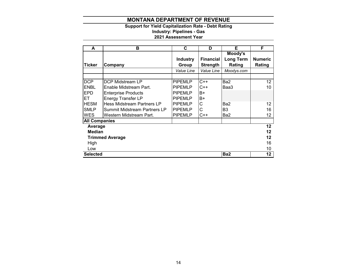# **Support for Yield Capitalization Rate - Debt Rating Industry: Pipelines - Gas**

| A                      | в                                   | C               | D                | Е              | F              |  |  |  |  |  |
|------------------------|-------------------------------------|-----------------|------------------|----------------|----------------|--|--|--|--|--|
|                        |                                     |                 |                  | Moody's        |                |  |  |  |  |  |
|                        |                                     | <b>Industry</b> | <b>Financial</b> | Long Term      | <b>Numeric</b> |  |  |  |  |  |
| <b>Ticker</b>          | Company                             | Group           | <b>Strength</b>  | Rating         | Rating         |  |  |  |  |  |
|                        |                                     | Value Line      | Value Line       | Moodys.com     |                |  |  |  |  |  |
|                        |                                     |                 |                  |                |                |  |  |  |  |  |
| <b>DCP</b>             | <b>DCP Midstream LP</b>             | <b>PIPEMLP</b>  | $C++$            | Ba2            | 12             |  |  |  |  |  |
| <b>ENBL</b>            | Enable Midstream Part.              | <b>PIPEMLP</b>  | $C++$            | Baa3           | 10             |  |  |  |  |  |
| <b>EPD</b>             | <b>Enterprise Products</b>          | <b>PIPEMLP</b>  | B+               |                |                |  |  |  |  |  |
| IET.                   | <b>Energy Transfer LP</b>           | <b>PIPEMLP</b>  | B+               |                |                |  |  |  |  |  |
| <b>HESM</b>            | <b>Hess Midstream Partners LP</b>   | <b>PIPEMLP</b>  | С                | Ba2            | 12             |  |  |  |  |  |
| <b>SMLP</b>            | <b>Summit Midstream Partners LP</b> | <b>PIPEMLP</b>  | Ċ                | B <sub>3</sub> | 16             |  |  |  |  |  |
| <b>WES</b>             | Western Midstream Part.             | <b>PIPEMLP</b>  | C++              | Ba2            | 12             |  |  |  |  |  |
| <b>All Companies</b>   |                                     |                 |                  |                |                |  |  |  |  |  |
| Average                |                                     |                 |                  |                | 12             |  |  |  |  |  |
| <b>Median</b>          |                                     |                 |                  |                |                |  |  |  |  |  |
| <b>Trimmed Average</b> |                                     |                 |                  |                |                |  |  |  |  |  |
| High                   |                                     |                 |                  |                |                |  |  |  |  |  |
| Low                    |                                     |                 |                  |                |                |  |  |  |  |  |
| <b>Selected</b>        | Ba2                                 |                 |                  |                |                |  |  |  |  |  |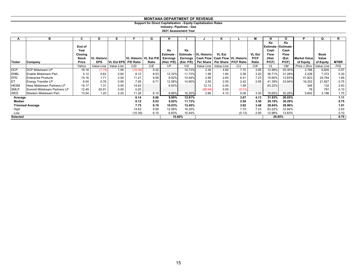# **Support for Direct Capitalization - Equity Capitalization Rates**

**Industry: Pipelines - Gas**

|                 | в                                 | C              |                    | Е                    |                          | G     | н               |                 |                               | Κ                     |                                                               | М             | N           | O                                        | P                   | O           | R           |
|-----------------|-----------------------------------|----------------|--------------------|----------------------|--------------------------|-------|-----------------|-----------------|-------------------------------|-----------------------|---------------------------------------------------------------|---------------|-------------|------------------------------------------|---------------------|-------------|-------------|
|                 |                                   | End of<br>Year |                    |                      |                          |       | Ke              | Ke              |                               |                       |                                                               |               | Ke<br>Cash  | Ke<br><b>Estimate - Estimate</b><br>Cash |                     |             |             |
|                 |                                   | Closing        |                    |                      |                          |       | Estimate        |                 | <b>Estimate - VL Historic</b> | <b>VL Est</b>         |                                                               | <b>VL Est</b> | <b>Flow</b> | <b>Flow</b>                              |                     | <b>Book</b> |             |
|                 |                                   | <b>Stock</b>   | <b>VL Historic</b> |                      | VL Historic   VL Est P/E |       | <b>Earnings</b> | <b>Earnings</b> |                               |                       | <b>Cash Flow Cash Flow VL Historic</b>                        | P/CF          | (Hist.      | (Est.                                    | <b>Market Value</b> | Value       |             |
| <b>Ticker</b>   | Company                           | Price          | <b>EPS</b>         | VL Est EPS P/E Ratio |                          | Ratio |                 |                 |                               |                       | (Hist. P/E)   (Est. P/E)   Per Share   Per Share   P/CF Ratio | Ratio         | P(CF)       | P(CF)                                    | of Equity           | of Equity   | <b>MTBR</b> |
|                 |                                   | Yahoo          | Value Line         | Value Line           | C/D                      | C/E   | 1/F             | 1/G             |                               | Value Line Value Line | C/J                                                           | C/K           | 1/L         | 1/M                                      | Price x Shrs        | Value Line  | P/Q         |
| <b>DCP</b>      | <b>DCP Midstream LP</b>           | 18.18          | (1.75)             | 1.95                 | (10.39)                  | 9.32  |                 | 10.73%          | 2.36                          | 4.60                  | 7.70                                                          | 3.95          | 12.98%      | 25.30%                                   | 3,788               | 6,605       | 0.57        |
| <b>ENBL</b>     | Enable Midstream Part.            | 5.12           | 0.63               | 0.60                 | 8.12                     | 8.53  | 12.32%          | 11.73%          | 1.98                          | 1.60                  | 2.58                                                          | 3.20          | 38.71%      | 31.28%                                   | 2,228               | 7,372       | 0.30        |
| <b>EPD</b>      | <b>Enterprise Products</b>        | 19.16          | 1.71               | 2.00                 | 11.21                    | 9.58  | 8.92%           | 10.44%          | 2.99                          | 2.65                  | 6.41                                                          | 7.23          | 15.60%      | 13.83%                                   | 41,823              | 24,764      | 1.69        |
| ET              | <b>Energy Transfer LP</b>         | 6.04           | 0.76               | 0.90                 | 7.95                     | 6.71  | 12.58%          | 14.90%          | 2.50                          | 2.05                  | 2.42                                                          | 2.95          | 41.39%      | 33.94%                                   | 16,322              | 21,827      | 0.75        |
| <b>HESM</b>     | <b>Hess Midstream Partners LP</b> | 19.17          | 1.31               | 0.00                 | 14.63                    |       | 6.83%           |                 | 12.12                         | 0.00                  | 1.58                                                          |               | 63.22%      |                                          | 346                 | 132         | 2.63        |
| <b>SMLP</b>     | Summit Midstream Partners LP      | 12.49          | 63.91              | 0.00                 | 0.20                     |       |                 |                 | (98.94)                       | 0.00                  | (0.13)                                                        |               |             |                                          | 76                  | 791         | 0.10        |
| WES             | Western Midstream Part.           | 13.54          | 1.20               | 2.20                 | 11.28                    | 6.15  | 8.86%           | 16.25%          | 2.66                          | 4.10                  | 5.09                                                          | 3.30          | 19.65%      | 30.29%                                   | 5,602               | 3,196       | 1.75        |
| Average         |                                   |                |                    |                      | 6.14                     | 8.06  | 9.90%           | 12.81%          |                               |                       | 3.67                                                          | 4.13          | 31.93%      | 26.93%                                   |                     |             | 1.11        |
| Median          |                                   |                |                    |                      | 8.12                     | 8.53  | 8.92%           | 11.73%          |                               |                       | 2.58                                                          | 3.30          | 29.18%      | 30.29%                                   |                     |             | 0.75        |
|                 | <b>Trimmed Average</b>            |                |                    |                      | 7.75                     | 8.19  | 10.03%          | 12.45%          |                               |                       | 3.62                                                          | 3.48          | 28.84%      | 28.96%                                   |                     |             | 1.01        |
| High            |                                   |                |                    |                      | 14.63                    | 9.58  | 12.58%          | 16.25%          |                               |                       | 7.70                                                          | 7.23          | 63.22%      | 33.94%                                   |                     |             | 2.63        |
| Low             |                                   |                |                    |                      | (10.39)                  | 6.15  | 6.83%           | 10.44%          |                               |                       | (0.13)                                                        | 2.95          | 12.98%      | 13.83%                                   |                     |             | 0.10        |
| <b>Selected</b> |                                   |                |                    |                      |                          |       |                 | 10.60%          |                               |                       |                                                               |               |             | 29.85%                                   |                     |             | 0.75        |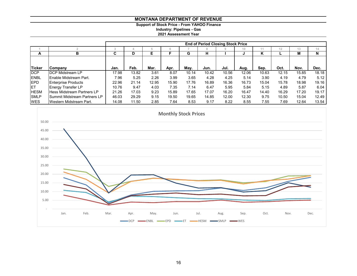**Support of Stock Price - From YAHOO Finance**

**Industry: Pipelines - Gas**

|               |                                     |       |       |       |       |       | <b>End of Period Closing Stock Price</b> |       |       |       |       |       |       |
|---------------|-------------------------------------|-------|-------|-------|-------|-------|------------------------------------------|-------|-------|-------|-------|-------|-------|
|               |                                     |       |       |       | 6     |       | 8                                        |       | 10    |       | 12    | 13    | 14    |
| A             | в                                   | C     | D     | Е     |       | G     | н                                        |       |       | κ     |       | M     | N     |
|               |                                     |       |       |       |       |       |                                          |       |       |       |       |       |       |
| <b>Ticker</b> | <b>ICompany</b>                     | Jan.  | Feb.  | Mar.  | Apr.  | May.  | Jun.                                     | Jul.  | Aug.  | Sep.  | Oct.  | Nov.  | Dec.  |
| <b>IDCP</b>   | <b>DCP Midstream LP</b>             | 17.98 | 13.82 | 3.61  | 8.07  | 10.14 | 10.42                                    | 10.56 | 12.06 | 10.63 | 12.15 | 15.85 | 18.18 |
| <b>ENBL</b>   | <b>Enable Midstream Part.</b>       | 7.96  | 5.25  | 2.26  | 3.99  | 3.65  | 4.28                                     | 4.25  | 5.14  | 3.90  | 4.19  | 4.79  | 5.12  |
| <b>IEPD</b>   | <b>Enterprise Products</b>          | 22.96 | 21.14 | 12.95 | 15.90 | 17.76 | 16.89                                    | 16.36 | 16.73 | 15.04 | 15.78 | 18.98 | 19.16 |
| <b>IET</b>    | <b>Energy Transfer LP</b>           | 10.76 | 9.47  | 4.03  | 7.35  | 7.14  | 6.47                                     | 5.95  | 5.84  | 5.15  | 4.89  | 5.87  | 6.04  |
| <b>HESM</b>   | <b>Hess Midstream Partners LP</b>   | 21.26 | 17.03 | 9.23  | 15.89 | 17.65 | 17.07                                    | 16.20 | 16.47 | 14.40 | 16.29 | 17.20 | 19.17 |
| <b>SMLP</b>   | <b>Summit Midstream Partners LP</b> | 46.03 | 29.29 | 9.15  | 19.50 | 19.65 | 14.85                                    | 12.00 | 12.30 | 9.75  | 10.50 | 15.04 | 12.49 |
| <b>WES</b>    | Western Midstream Part.             | 14.08 | 11.50 | 2.85  | 7.64  | 8.53  | 9.17                                     | 8.22  | 8.55  | 7.55  | 7.69  | 12.64 | 13.54 |

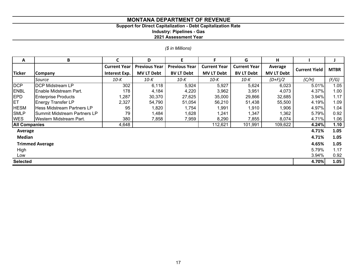# **Support for Direct Capitalization - Debt Capitalization Rate**

**Industry: Pipelines - Gas**

|  | (\$ in Millions) |
|--|------------------|
|  |                  |

| A                    | B                                 |                     | D                    | E                    | F.                  | G                   | н                 |                      |             |
|----------------------|-----------------------------------|---------------------|----------------------|----------------------|---------------------|---------------------|-------------------|----------------------|-------------|
|                      |                                   | <b>Current Year</b> | <b>Previous Year</b> | <b>Previous Year</b> | <b>Current Year</b> | <b>Current Year</b> | Average           | <b>Current Yield</b> | <b>MTBR</b> |
| <b>Ticker</b>        | Company                           | Interest Exp.       | <b>MV LT Debt</b>    | <b>BV LT Debt</b>    | <b>MV LT Debt</b>   | <b>BV LT Debt</b>   | <b>MV LT Debt</b> |                      |             |
|                      | Source                            | $10-K$              | $10-K$               | 10-K                 | $10-K$              | $10-K$              | $(D+F)/2$         | (C/H)                | (F/G)       |
| <b>DCP</b>           | <b>DCP Midstream LP</b>           | 302                 | 6,118                | 5,924                | 5,927               | 5,624               | 6,023             | 5.01%                | 1.05        |
| <b>ENBL</b>          | Enable Midstream Part.            | 178                 | 4,184                | 4,220                | 3,962               | 3,951               | 4,073             | 4.37%                | 1.00        |
| <b>EPD</b>           | <b>Enterprise Products</b>        | 1,287               | 30,370               | 27,625               | 35,000              | 29,866              | 32,685            | 3.94%                | 1.17        |
| <b>ET</b>            | <b>Energy Transfer LP</b>         | 2,327               | 54,790               | 51,054               | 56,210              | 51,438              | 55,500            | 4.19%                | 1.09        |
| <b>HESM</b>          | <b>Hess Midstream Partners LP</b> | 95                  | 1,820                | 1,754                | ,991                | 1,910               | 1,906             | 4.97%                | 1.04        |
| <b>SMLP</b>          | Summit Midstream Partners LP      | 79                  | 1,484                | 1,628                | ,241                | 1,347               | 1,362             | 5.79%                | 0.92        |
| <b>WES</b>           | Western Midstream Part.           | 380                 | 7,858                | 7,959                | 8,290               | 7,855               | 8,074             | 4.71%                | 1.06        |
| <b>All Companies</b> |                                   | 4,648               |                      |                      | 112,621             | 101,991             | 109,622           | 4.24%                | 1.10        |
| Average              |                                   |                     |                      |                      |                     |                     |                   | 4.71%                | 1.05        |
| <b>Median</b>        |                                   |                     |                      |                      |                     |                     |                   | 4.71%                | 1.05        |
|                      | <b>Trimmed Average</b>            |                     |                      |                      |                     |                     |                   | 4.65%                | 1.05        |
| High                 |                                   |                     |                      |                      |                     |                     |                   | 5.79%                | 1.17        |
| Low                  |                                   |                     |                      |                      |                     |                     |                   | 3.94%                | 0.92        |
| <b>Selected</b>      |                                   |                     |                      |                      |                     |                     |                   | 4.70%                | 1.05        |